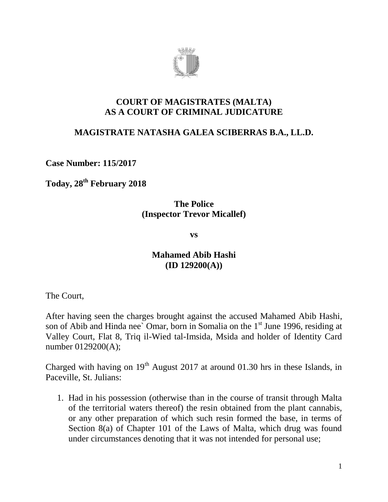

#### **COURT OF MAGISTRATES (MALTA) AS A COURT OF CRIMINAL JUDICATURE**

# **MAGISTRATE NATASHA GALEA SCIBERRAS B.A., LL.D.**

**Case Number: 115/2017**

**Today, 28th February 2018**

### **The Police (Inspector Trevor Micallef)**

**vs**

### **Mahamed Abib Hashi (ID 129200(A))**

The Court,

After having seen the charges brought against the accused Mahamed Abib Hashi, son of Abib and Hinda nee' Omar, born in Somalia on the  $1<sup>st</sup>$  June 1996, residing at Valley Court, Flat 8, Triq il-Wied tal-Imsida, Msida and holder of Identity Card number 0129200(A);

Charged with having on  $19<sup>th</sup>$  August 2017 at around 01.30 hrs in these Islands, in Paceville, St. Julians:

1. Had in his possession (otherwise than in the course of transit through Malta of the territorial waters thereof) the resin obtained from the plant cannabis, or any other preparation of which such resin formed the base, in terms of Section 8(a) of Chapter 101 of the Laws of Malta, which drug was found under circumstances denoting that it was not intended for personal use;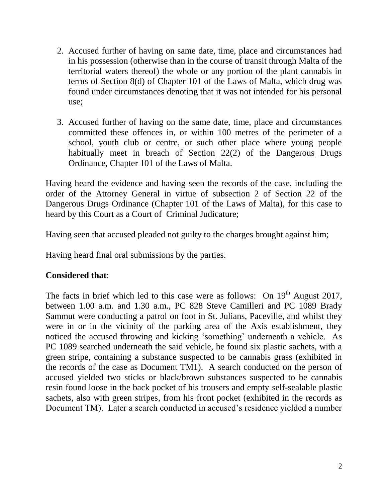- 2. Accused further of having on same date, time, place and circumstances had in his possession (otherwise than in the course of transit through Malta of the territorial waters thereof) the whole or any portion of the plant cannabis in terms of Section 8(d) of Chapter 101 of the Laws of Malta, which drug was found under circumstances denoting that it was not intended for his personal use;
- 3. Accused further of having on the same date, time, place and circumstances committed these offences in, or within 100 metres of the perimeter of a school, youth club or centre, or such other place where young people habitually meet in breach of Section 22(2) of the Dangerous Drugs Ordinance, Chapter 101 of the Laws of Malta.

Having heard the evidence and having seen the records of the case, including the order of the Attorney General in virtue of subsection 2 of Section 22 of the Dangerous Drugs Ordinance (Chapter 101 of the Laws of Malta), for this case to heard by this Court as a Court of Criminal Judicature;

Having seen that accused pleaded not guilty to the charges brought against him;

Having heard final oral submissions by the parties.

#### **Considered that**:

The facts in brief which led to this case were as follows: On  $19<sup>th</sup>$  August 2017, between 1.00 a.m. and 1.30 a.m., PC 828 Steve Camilleri and PC 1089 Brady Sammut were conducting a patrol on foot in St. Julians, Paceville, and whilst they were in or in the vicinity of the parking area of the Axis establishment, they noticed the accused throwing and kicking 'something' underneath a vehicle. As PC 1089 searched underneath the said vehicle, he found six plastic sachets, with a green stripe, containing a substance suspected to be cannabis grass (exhibited in the records of the case as Document TM1). A search conducted on the person of accused yielded two sticks or black/brown substances suspected to be cannabis resin found loose in the back pocket of his trousers and empty self-sealable plastic sachets, also with green stripes, from his front pocket (exhibited in the records as Document TM). Later a search conducted in accused's residence yielded a number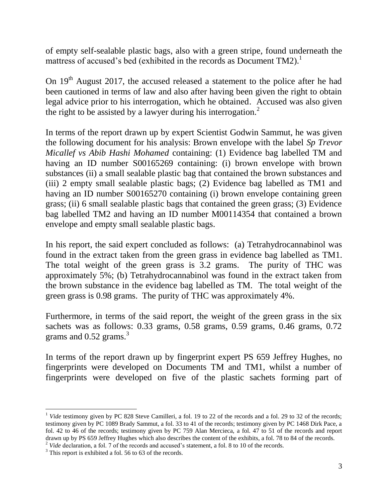of empty self-sealable plastic bags, also with a green stripe, found underneath the mattress of accused's bed (exhibited in the records as Document  $TM2$ ).<sup>1</sup>

On  $19<sup>th</sup>$  August 2017, the accused released a statement to the police after he had been cautioned in terms of law and also after having been given the right to obtain legal advice prior to his interrogation, which he obtained. Accused was also given the right to be assisted by a lawyer during his interrogation.<sup>2</sup>

In terms of the report drawn up by expert Scientist Godwin Sammut, he was given the following document for his analysis: Brown envelope with the label *Sp Trevor Micallef vs Abib Hashi Mohamed* containing: (1) Evidence bag labelled TM and having an ID number S00165269 containing: (i) brown envelope with brown substances (ii) a small sealable plastic bag that contained the brown substances and (iii) 2 empty small sealable plastic bags; (2) Evidence bag labelled as TM1 and having an ID number S00165270 containing (i) brown envelope containing green grass; (ii) 6 small sealable plastic bags that contained the green grass; (3) Evidence bag labelled TM2 and having an ID number M00114354 that contained a brown envelope and empty small sealable plastic bags.

In his report, the said expert concluded as follows: (a) Tetrahydrocannabinol was found in the extract taken from the green grass in evidence bag labelled as TM1. The total weight of the green grass is 3.2 grams. The purity of THC was approximately 5%; (b) Tetrahydrocannabinol was found in the extract taken from the brown substance in the evidence bag labelled as TM. The total weight of the green grass is 0.98 grams. The purity of THC was approximately 4%.

Furthermore, in terms of the said report, the weight of the green grass in the six sachets was as follows: 0.33 grams, 0.58 grams, 0.59 grams, 0.46 grams, 0.72 grams and  $0.52$  grams.<sup>3</sup>

In terms of the report drawn up by fingerprint expert PS 659 Jeffrey Hughes, no fingerprints were developed on Documents TM and TM1, whilst a number of fingerprints were developed on five of the plastic sachets forming part of

 $\overline{a}$ 

<sup>&</sup>lt;sup>1</sup> *Vide* testimony given by PC 828 Steve Camilleri, a fol. 19 to 22 of the records and a fol. 29 to 32 of the records; testimony given by PC 1089 Brady Sammut, a fol. 33 to 41 of the records; testimony given by PC 1468 Dirk Pace, a fol. 42 to 46 of the records; testimony given by PC 759 Alan Mercieca, a fol. 47 to 51 of the records and report drawn up by PS 659 Jeffrey Hughes which also describes the content of the exhibits, a fol. 78 to 84 of the records. <sup>2</sup> *Vide* declaration, a fol. 7 of the records and accused's statement, a fol. 8 to 10 of the records.

<sup>&</sup>lt;sup>3</sup> This report is exhibited a fol. 56 to 63 of the records.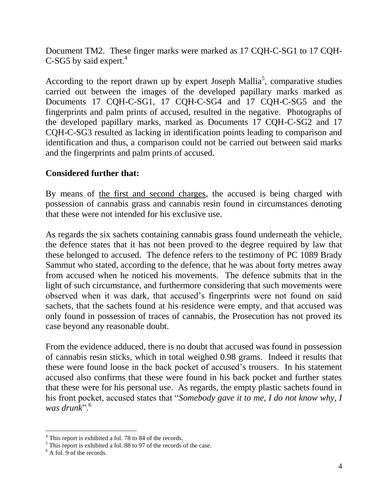Document TM2. These finger marks were marked as 17 CQH-C-SG1 to 17 CQH-C-SG5 by said expert. $4$ 

According to the report drawn up by expert Joseph Mallia<sup>5</sup>, comparative studies carried out between the images of the developed papillary marks marked as Documents 17 CQH-C-SG1, 17 CQH-C-SG4 and 17 CQH-C-SG5 and the fingerprints and palm prints of accused, resulted in the negative. Photographs of the developed papillary marks, marked as Documents 17 CQH-C-SG2 and 17 CQH-C-SG3 resulted as lacking in identification points leading to comparison and identification and thus, a comparison could not be carried out between said marks and the fingerprints and palm prints of accused.

# **Considered further that:**

By means of the first and second charges, the accused is being charged with possession of cannabis grass and cannabis resin found in circumstances denoting that these were not intended for his exclusive use.

As regards the six sachets containing cannabis grass found underneath the vehicle, the defence states that it has not been proved to the degree required by law that these belonged to accused. The defence refers to the testimony of PC 1089 Brady Sammut who stated, according to the defence, that he was about forty metres away from accused when he noticed his movements. The defence submits that in the light of such circumstance, and furthermore considering that such movements were observed when it was dark, that accused's fingerprints were not found on said sachets, that the sachets found at his residence were empty, and that accused was only found in possession of traces of cannabis, the Prosecution has not proved its case beyond any reasonable doubt.

From the evidence adduced, there is no doubt that accused was found in possession of cannabis resin sticks, which in total weighed 0.98 grams. Indeed it results that these were found loose in the back pocket of accused's trousers. In his statement accused also confirms that these were found in his back pocket and further states that these were for his personal use. As regards, the empty plastic sachets found in his front pocket, accused states that "*Somebody gave it to me, I do not know why, I was drunk*".<sup>6</sup>

 $\overline{a}$ 

<sup>&</sup>lt;sup>4</sup> This report is exhibited a fol. 78 to 84 of the records.

<sup>&</sup>lt;sup>5</sup> This report is exhibited a fol. 88 to 97 of the records of the case.

 $6$  A fol. 9 of the records.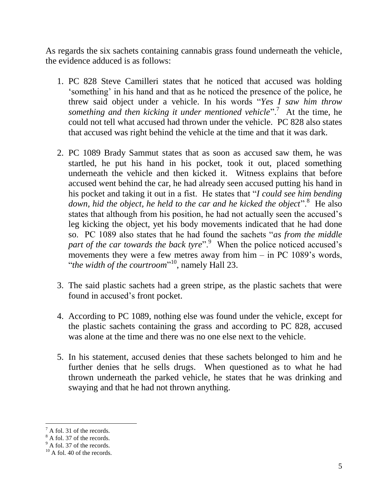As regards the six sachets containing cannabis grass found underneath the vehicle, the evidence adduced is as follows:

- 1. PC 828 Steve Camilleri states that he noticed that accused was holding 'something' in his hand and that as he noticed the presence of the police, he threw said object under a vehicle. In his words "*Yes I saw him throw something and then kicking it under mentioned vehicle*".<sup>7</sup> At the time, he could not tell what accused had thrown under the vehicle. PC 828 also states that accused was right behind the vehicle at the time and that it was dark.
- 2. PC 1089 Brady Sammut states that as soon as accused saw them, he was startled, he put his hand in his pocket, took it out, placed something underneath the vehicle and then kicked it. Witness explains that before accused went behind the car, he had already seen accused putting his hand in his pocket and taking it out in a fist. He states that "*I could see him bending*  down, hid the object, he held to the car and he kicked the object".<sup>8</sup> He also states that although from his position, he had not actually seen the accused's leg kicking the object, yet his body movements indicated that he had done so. PC 1089 also states that he had found the sachets "*as from the middle*  part of the car towards the back tyre".<sup>9</sup> When the police noticed accused's movements they were a few metres away from him – in PC 1089's words, "*the width of the courtroom*" <sup>10</sup>, namely Hall 23.
- 3. The said plastic sachets had a green stripe, as the plastic sachets that were found in accused's front pocket.
- 4. According to PC 1089, nothing else was found under the vehicle, except for the plastic sachets containing the grass and according to PC 828, accused was alone at the time and there was no one else next to the vehicle.
- 5. In his statement, accused denies that these sachets belonged to him and he further denies that he sells drugs. When questioned as to what he had thrown underneath the parked vehicle, he states that he was drinking and swaying and that he had not thrown anything.

 $\overline{a}$ 

 $^7$  A fol. 31 of the records.

 $8 \text{ A}$  fol. 37 of the records.

 $9^9$  A fol. 37 of the records.

 $^{10}$  A fol. 40 of the records.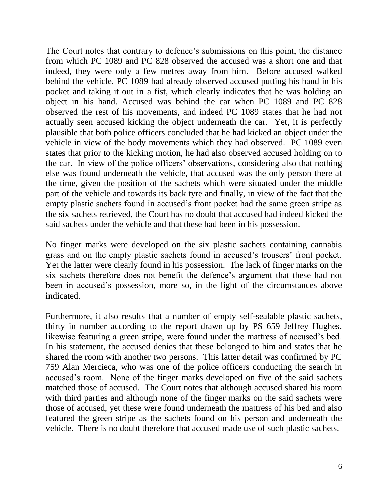The Court notes that contrary to defence's submissions on this point, the distance from which PC 1089 and PC 828 observed the accused was a short one and that indeed, they were only a few metres away from him. Before accused walked behind the vehicle, PC 1089 had already observed accused putting his hand in his pocket and taking it out in a fist, which clearly indicates that he was holding an object in his hand. Accused was behind the car when PC 1089 and PC 828 observed the rest of his movements, and indeed PC 1089 states that he had not actually seen accused kicking the object underneath the car. Yet, it is perfectly plausible that both police officers concluded that he had kicked an object under the vehicle in view of the body movements which they had observed. PC 1089 even states that prior to the kicking motion, he had also observed accused holding on to the car. In view of the police officers' observations, considering also that nothing else was found underneath the vehicle, that accused was the only person there at the time, given the position of the sachets which were situated under the middle part of the vehicle and towards its back tyre and finally, in view of the fact that the empty plastic sachets found in accused's front pocket had the same green stripe as the six sachets retrieved, the Court has no doubt that accused had indeed kicked the said sachets under the vehicle and that these had been in his possession.

No finger marks were developed on the six plastic sachets containing cannabis grass and on the empty plastic sachets found in accused's trousers' front pocket. Yet the latter were clearly found in his possession. The lack of finger marks on the six sachets therefore does not benefit the defence's argument that these had not been in accused's possession, more so, in the light of the circumstances above indicated.

Furthermore, it also results that a number of empty self-sealable plastic sachets, thirty in number according to the report drawn up by PS 659 Jeffrey Hughes, likewise featuring a green stripe, were found under the mattress of accused's bed. In his statement, the accused denies that these belonged to him and states that he shared the room with another two persons. This latter detail was confirmed by PC 759 Alan Mercieca, who was one of the police officers conducting the search in accused's room. None of the finger marks developed on five of the said sachets matched those of accused. The Court notes that although accused shared his room with third parties and although none of the finger marks on the said sachets were those of accused, yet these were found underneath the mattress of his bed and also featured the green stripe as the sachets found on his person and underneath the vehicle. There is no doubt therefore that accused made use of such plastic sachets.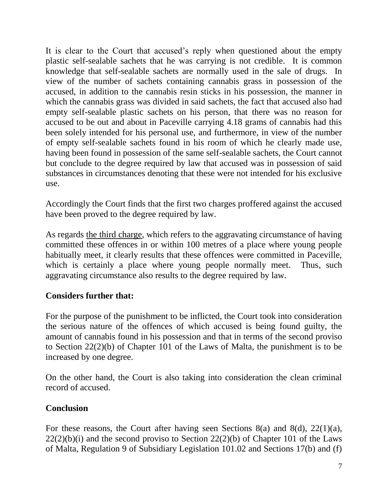It is clear to the Court that accused's reply when questioned about the empty plastic self-sealable sachets that he was carrying is not credible. It is common knowledge that self-sealable sachets are normally used in the sale of drugs. In view of the number of sachets containing cannabis grass in possession of the accused, in addition to the cannabis resin sticks in his possession, the manner in which the cannabis grass was divided in said sachets, the fact that accused also had empty self-sealable plastic sachets on his person, that there was no reason for accused to be out and about in Paceville carrying 4.18 grams of cannabis had this been solely intended for his personal use, and furthermore, in view of the number of empty self-sealable sachets found in his room of which he clearly made use, having been found in possession of the same self-sealable sachets, the Court cannot but conclude to the degree required by law that accused was in possession of said substances in circumstances denoting that these were not intended for his exclusive use.

Accordingly the Court finds that the first two charges proffered against the accused have been proved to the degree required by law.

As regards the third charge, which refers to the aggravating circumstance of having committed these offences in or within 100 metres of a place where young people habitually meet, it clearly results that these offences were committed in Paceville, which is certainly a place where young people normally meet. Thus, such aggravating circumstance also results to the degree required by law.

# **Considers further that:**

For the purpose of the punishment to be inflicted, the Court took into consideration the serious nature of the offences of which accused is being found guilty, the amount of cannabis found in his possession and that in terms of the second proviso to Section 22(2)(b) of Chapter 101 of the Laws of Malta, the punishment is to be increased by one degree.

On the other hand, the Court is also taking into consideration the clean criminal record of accused.

#### **Conclusion**

For these reasons, the Court after having seen Sections 8(a) and 8(d), 22(1)(a),  $22(2)(b)(i)$  and the second proviso to Section  $22(2)(b)$  of Chapter 101 of the Laws of Malta, Regulation 9 of Subsidiary Legislation 101.02 and Sections 17(b) and (f)